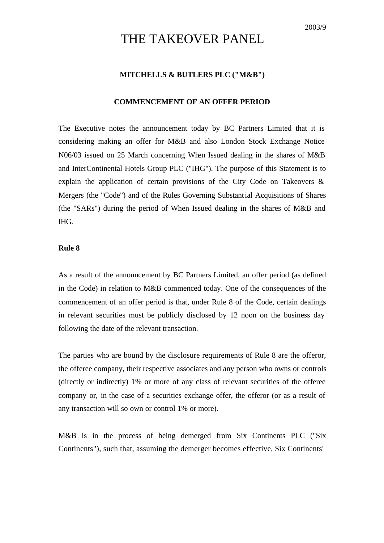# THE TAKEOVER PANEL

## **MITCHELLS & BUTLERS PLC ("M&B")**

#### **COMMENCEMENT OF AN OFFER PERIOD**

The Executive notes the announcement today by BC Partners Limited that it is considering making an offer for M&B and also London Stock Exchange Notice N06/03 issued on 25 March concerning When Issued dealing in the shares of M&B and InterContinental Hotels Group PLC ("IHG"). The purpose of this Statement is to explain the application of certain provisions of the City Code on Takeovers & Mergers (the "Code") and of the Rules Governing Substantial Acquisitions of Shares (the "SARs") during the period of When Issued dealing in the shares of M&B and IHG.

## **Rule 8**

As a result of the announcement by BC Partners Limited, an offer period (as defined in the Code) in relation to M&B commenced today. One of the consequences of the commencement of an offer period is that, under Rule 8 of the Code, certain dealings in relevant securities must be publicly disclosed by 12 noon on the business day following the date of the relevant transaction.

The parties who are bound by the disclosure requirements of Rule 8 are the offeror, the offeree company, their respective associates and any person who owns or controls (directly or indirectly) 1% or more of any class of relevant securities of the offeree company or, in the case of a securities exchange offer, the offeror (or as a result of any transaction will so own or control 1% or more).

M&B is in the process of being demerged from Six Continents PLC ("Six Continents"), such that, assuming the demerger becomes effective, Six Continents'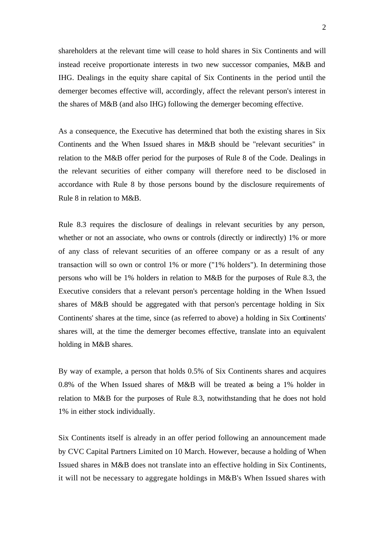shareholders at the relevant time will cease to hold shares in Six Continents and will instead receive proportionate interests in two new successor companies, M&B and IHG. Dealings in the equity share capital of Six Continents in the period until the demerger becomes effective will, accordingly, affect the relevant person's interest in the shares of M&B (and also IHG) following the demerger becoming effective.

As a consequence, the Executive has determined that both the existing shares in Six Continents and the When Issued shares in M&B should be "relevant securities" in relation to the M&B offer period for the purposes of Rule 8 of the Code. Dealings in the relevant securities of either company will therefore need to be disclosed in accordance with Rule 8 by those persons bound by the disclosure requirements of Rule 8 in relation to M&B.

Rule 8.3 requires the disclosure of dealings in relevant securities by any person, whether or not an associate, who owns or controls (directly or indirectly) 1% or more of any class of relevant securities of an offeree company or as a result of any transaction will so own or control 1% or more ("1% holders"). In determining those persons who will be 1% holders in relation to M&B for the purposes of Rule 8.3, the Executive considers that a relevant person's percentage holding in the When Issued shares of M&B should be aggregated with that person's percentage holding in Six Continents' shares at the time, since (as referred to above) a holding in Six Continents' shares will, at the time the demerger becomes effective, translate into an equivalent holding in M&B shares.

By way of example, a person that holds 0.5% of Six Continents shares and acquires 0.8% of the When Issued shares of M&B will be treated as being a 1% holder in relation to M&B for the purposes of Rule 8.3, notwithstanding that he does not hold 1% in either stock individually.

Six Continents itself is already in an offer period following an announcement made by CVC Capital Partners Limited on 10 March. However, because a holding of When Issued shares in M&B does not translate into an effective holding in Six Continents, it will not be necessary to aggregate holdings in M&B's When Issued shares with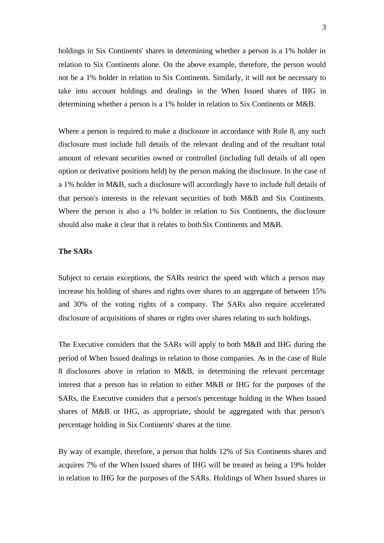holdings in Six Continents' shares in determining whether a person is a 1% holder in relation to Six Continents alone. On the above example, therefore, the person would not be a 1% holder in relation to Six Continents. Similarly, it will not be necessary to take into account holdings and dealings in the When Issued shares of IHG in determining whether a person is a 1% holder in relation to Six Continents or M&B.

Where a person is required to make a disclosure in accordance with Rule 8, any such disclosure must include full details of the relevant dealing and of the resultant total amount of relevant securities owned or controlled (including full details of all open option or derivative positions held) by the person making the disclosure. In the case of a 1% holder in M&B, such a disclosure will accordingly have to include full details of that person's interests in the relevant securities of both M&B and Six Continents. Where the person is also a 1% holder in relation to Six Continents, the disclosure should also make it clear that it relates to both Six Continents and M&B.

### **The SARs**

Subject to certain exceptions, the SARs restrict the speed with which a person may increase his holding of shares and rights over shares to an aggregate of between 15% and 30% of the voting rights of a company. The SARs also require accelerated disclosure of acquisitions of shares or rights over shares relating to such holdings.

The Executive considers that the SARs will apply to both M&B and IHG during the period of When Issued dealings in relation to those companies. As in the case of Rule 8 disclosures above in relation to M&B, in determining the relevant percentage interest that a person has in relation to either M&B or IHG for the purposes of the SARs, the Executive considers that a person's percentage holding in the When Issued shares of M&B or IHG, as appropriate, should be aggregated with that person's percentage holding in Six Continents' shares at the time.

By way of example, therefore, a person that holds 12% of Six Continents shares and acquires 7% of the When Issued shares of IHG will be treated as being a 19% holder in relation to IHG for the purposes of the SARs. Holdings of When Issued shares in